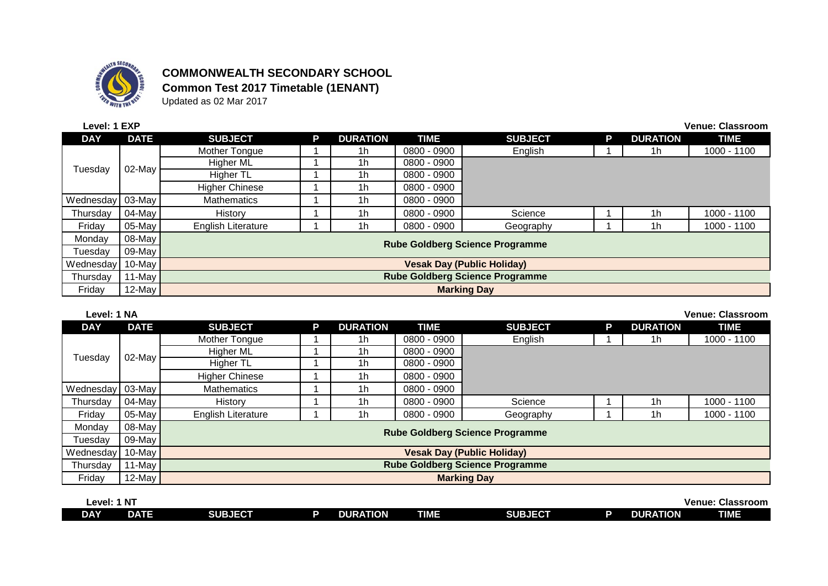

## **COMMONWEALTH SECONDARY SCHOOL Common Test 2017 Timetable (1ENANT)**

Updated as 02 Mar 2017

| Level: 1 EXP     |             |                                        |   |                 |               |                |   |                 | <b>Venue: Classroom</b> |  |  |  |
|------------------|-------------|----------------------------------------|---|-----------------|---------------|----------------|---|-----------------|-------------------------|--|--|--|
| <b>DAY</b>       | <b>DATE</b> | <b>SUBJECT</b>                         | P | <b>DURATION</b> | <b>TIME</b>   | <b>SUBJECT</b> | Р | <b>DURATION</b> | <b>TIME</b>             |  |  |  |
|                  | 02-May      | Mother Tongue                          |   | 1h              | 0800 - 0900   | English        |   | 1h              | 1000 - 1100             |  |  |  |
|                  |             | Higher ML                              |   | 1 <sub>h</sub>  | 0800 - 0900   |                |   |                 |                         |  |  |  |
| Tuesday          |             | Higher TL                              |   | 1h              | $0800 - 0900$ |                |   |                 |                         |  |  |  |
|                  |             | <b>Higher Chinese</b>                  |   | 1h              | 0800 - 0900   |                |   |                 |                         |  |  |  |
| Wednesday 03-May |             | <b>Mathematics</b>                     |   | 1h              | 0800 - 0900   |                |   |                 |                         |  |  |  |
| Thursdav         | 04-May      | History                                |   | 1h              | 0800 - 0900   | Science        |   | 1h              | 1000 - 1100             |  |  |  |
| Friday           | $05$ -May   | <b>English Literature</b>              |   | 1 <sub>h</sub>  | 0800 - 0900   | Geography      |   | 1h              | 1000 - 1100             |  |  |  |
| Monday           | 08-May      |                                        |   |                 |               |                |   |                 |                         |  |  |  |
| Tuesdav          | 09-May      | <b>Rube Goldberg Science Programme</b> |   |                 |               |                |   |                 |                         |  |  |  |
| Wednesday        | 10-May      | <b>Vesak Day (Public Holiday)</b>      |   |                 |               |                |   |                 |                         |  |  |  |
| Thursday         | 11-May      | <b>Rube Goldberg Science Programme</b> |   |                 |               |                |   |                 |                         |  |  |  |
| Friday           | 12-May      | <b>Marking Day</b>                     |   |                 |               |                |   |                 |                         |  |  |  |

| Level: 1 NA |             |                                        |                                        |                 |               |                |   | <b>Venue: Classroom</b> |             |  |  |
|-------------|-------------|----------------------------------------|----------------------------------------|-----------------|---------------|----------------|---|-------------------------|-------------|--|--|
| <b>DAY</b>  | <b>DATE</b> | <b>SUBJECT</b>                         | P                                      | <b>DURATION</b> | <b>TIME</b>   | <b>SUBJECT</b> | p | <b>DURATION</b>         | <b>TIME</b> |  |  |
|             | 02-May      | Mother Tongue                          |                                        | 1h              | 0800 - 0900   | English        |   | 1h                      | 1000 - 1100 |  |  |
|             |             | Higher ML                              |                                        | 1 <sub>h</sub>  | $0800 - 0900$ |                |   |                         |             |  |  |
| Tuesday     |             | <b>Higher TL</b>                       |                                        | 1 <sub>h</sub>  | 0800 - 0900   |                |   |                         |             |  |  |
|             |             | <b>Higher Chinese</b>                  |                                        | 1 <sub>h</sub>  | 0800 - 0900   |                |   |                         |             |  |  |
| Wednesday   | 03-May      | <b>Mathematics</b>                     |                                        | 1h              | 0800 - 0900   |                |   |                         |             |  |  |
| Thursday    | 04-May      | History                                |                                        | 1h              | 0800 - 0900   | Science        |   | 1h                      | 1000 - 1100 |  |  |
| Friday      | 05-May      | <b>English Literature</b>              |                                        | 1h              | 0800 - 0900   | Geography      |   | 1 <sub>h</sub>          | 1000 - 1100 |  |  |
| Mondav      | 08-May      |                                        |                                        |                 |               |                |   |                         |             |  |  |
| Tuesdav     | 09-May      |                                        | <b>Rube Goldberg Science Programme</b> |                 |               |                |   |                         |             |  |  |
| Wednesdav   | $10$ -May   | <b>Vesak Day (Public Holiday)</b>      |                                        |                 |               |                |   |                         |             |  |  |
| Thursday    | 11-May      | <b>Rube Goldberg Science Programme</b> |                                        |                 |               |                |   |                         |             |  |  |
| Friday      | $12$ -May   | <b>Marking Day</b>                     |                                        |                 |               |                |   |                         |             |  |  |
|             |             |                                        |                                        |                 |               |                |   |                         |             |  |  |

| <b>Level:</b> | N7 |                |                 |      |                |                 | <b>Classroom</b><br><b>Venue:</b> |
|---------------|----|----------------|-----------------|------|----------------|-----------------|-----------------------------------|
| DAY           | 水正 | <b>SUBJECT</b> | <b>DURATION</b> | TIME | <b>SUBJECT</b> | <b>DURATION</b> | <b>TIME</b>                       |